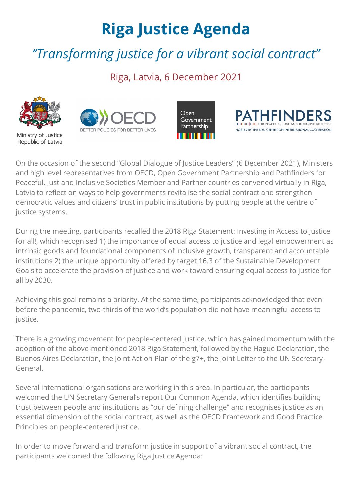## **Riga Justice Agenda**

## *"Transforming justice for a vibrant social contract"*

Riga, Latvia, 6 December 2021



Ministry of Justice Republic of Latvia







On the occasion of the second "Global Dialogue of Justice Leaders" (6 December 2021), Ministers and high level representatives from OECD, Open Government Partnership and Pathfinders for Peaceful, Just and Inclusive Societies Member and Partner countries convened virtually in Riga, Latvia to reflect on ways to help governments revitalise the social contract and strengthen democratic values and citizens' trust in public institutions by putting people at the centre of justice systems.

During the meeting, participants recalled the [2018 Riga Statement:](https://www.oecd.org/gov/equal-access-to-justice-roundtable-latvia-riga-statement.pdf) Investing in Access to Justice for all!, which recognised 1) the importance of equal access to justice and legal empowerment as intrinsic goods and foundational components of inclusive growth, transparent and accountable institutions 2) the unique opportunity offered by target 16.3 of the Sustainable Development Goals to accelerate the provision of justice and work toward ensuring equal access to justice for all by 2030.

Achieving this goal remains a priority. At the same time, participants acknowledged that even before the pandemic, [two-thirds of the world's population](https://www.justice.sdg16.plus/report) did not have meaningful access to justice.

There is a growing movement for people-centered justice, which has gained momentum with the adoption of the above-mentioned [2018 Riga Statement](http://www.oecd.org/gov/equal-access-to-justice-roundtable-latvia-riga-statement.pdf), followed by the [Hague Declaration,](https://bf889554-6857-4cfe-8d55-8770007b8841.filesusr.com/ugd/90b3d6_9357f6ca843f452db89b671b1675524e.pdf) the [Buenos Aires Declaratio](https://bf889554-6857-4cfe-8d55-8770007b8841.filesusr.com/ugd/90b3d6_de736061a09442a0aa0e7970dc8de079.pdf)[n, the](https://www.justice.sdg16.plus/ministerial) [Joint Action Plan of the g7+](https://bf889554-6857-4cfe-8d55-8770007b8841.filesusr.com/ugd/90b3d6_52f3fb84d54d4923860dbcd54d331dad.pdf)[, the Joint Letter to the UN Secretary-](https://www.justice.sdg16.plus/ministerial)General.

Several international organisations are working in this area. In particular, the participants welcomed the UN Secretary General's report [Our Common Agenda](https://www.un.org/en/content/common-agenda-report/), which identifies building trust between people and institutions as "our defining challenge" and recognises justice as an essential dimension of the social contract, as well as the OECD Framework and Good Practice Principles on people-centered justice.

In order to move forward and transform justice in support of a vibrant social contract, the participants welcomed the following Riga Justice Agenda: